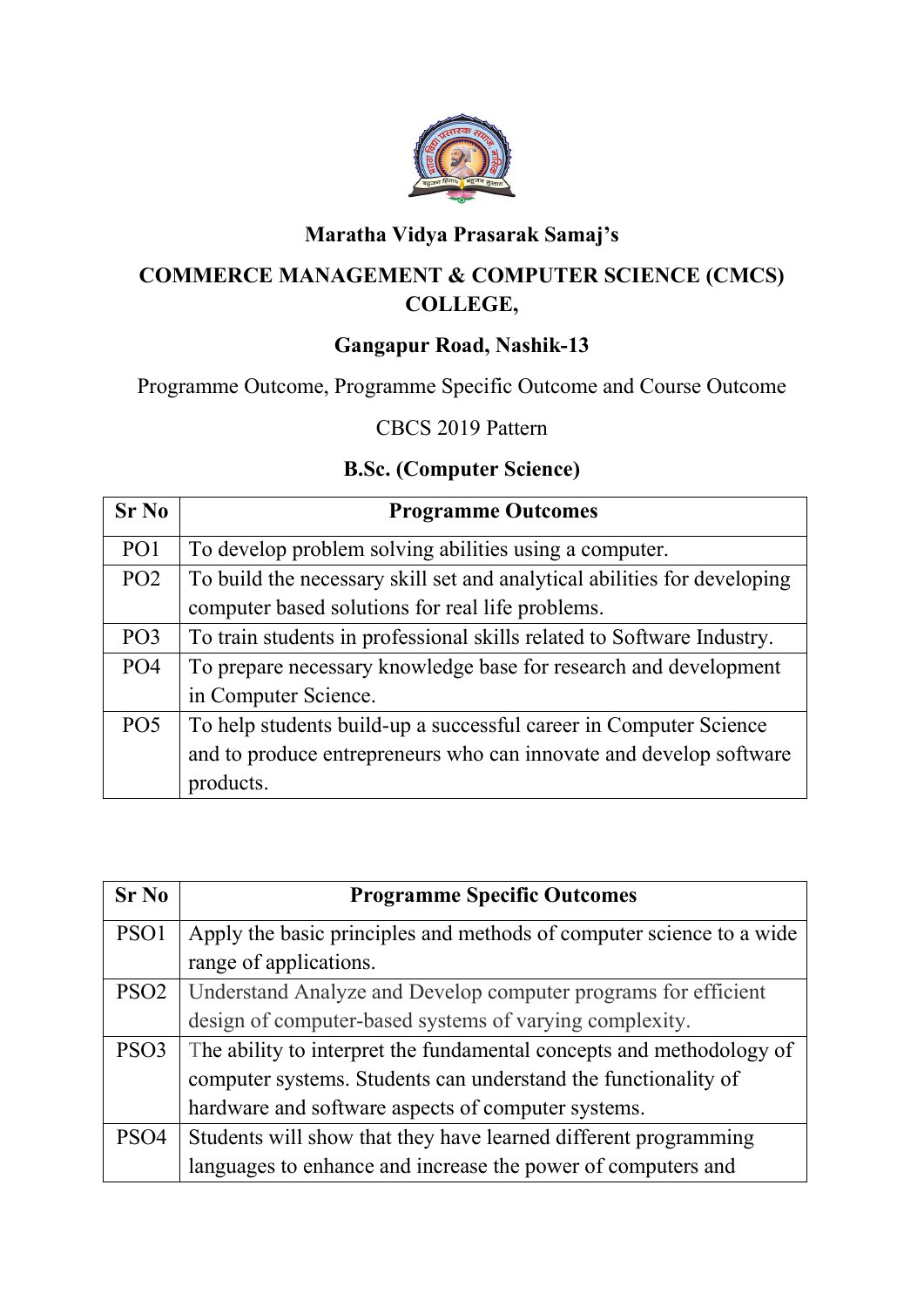

# **Maratha Vidya Prasarak Samaj's**

## **COMMERCE MANAGEMENT & COMPUTER SCIENCE (CMCS) COLLEGE,**

## **Gangapur Road, Nashik-13**

Programme Outcome, Programme Specific Outcome and Course Outcome

### CBCS 2019 Pattern

### **B.Sc. (Computer Science)**

| $Sr$ No         | <b>Programme Outcomes</b>                                                |
|-----------------|--------------------------------------------------------------------------|
| PO <sub>1</sub> | To develop problem solving abilities using a computer.                   |
| PO <sub>2</sub> | To build the necessary skill set and analytical abilities for developing |
|                 | computer based solutions for real life problems.                         |
| PO <sub>3</sub> | To train students in professional skills related to Software Industry.   |
| PO <sub>4</sub> | To prepare necessary knowledge base for research and development         |
|                 | in Computer Science.                                                     |
| PO <sub>5</sub> | To help students build-up a successful career in Computer Science        |
|                 | and to produce entrepreneurs who can innovate and develop software       |
|                 | products.                                                                |

| $Sr$ No          | <b>Programme Specific Outcomes</b>                                   |
|------------------|----------------------------------------------------------------------|
| PSO <sub>1</sub> | Apply the basic principles and methods of computer science to a wide |
|                  | range of applications.                                               |
| PSO <sub>2</sub> | Understand Analyze and Develop computer programs for efficient       |
|                  | design of computer-based systems of varying complexity.              |
| PSO <sub>3</sub> | The ability to interpret the fundamental concepts and methodology of |
|                  | computer systems. Students can understand the functionality of       |
|                  | hardware and software aspects of computer systems.                   |
| PSO <sub>4</sub> | Students will show that they have learned different programming      |
|                  | languages to enhance and increase the power of computers and         |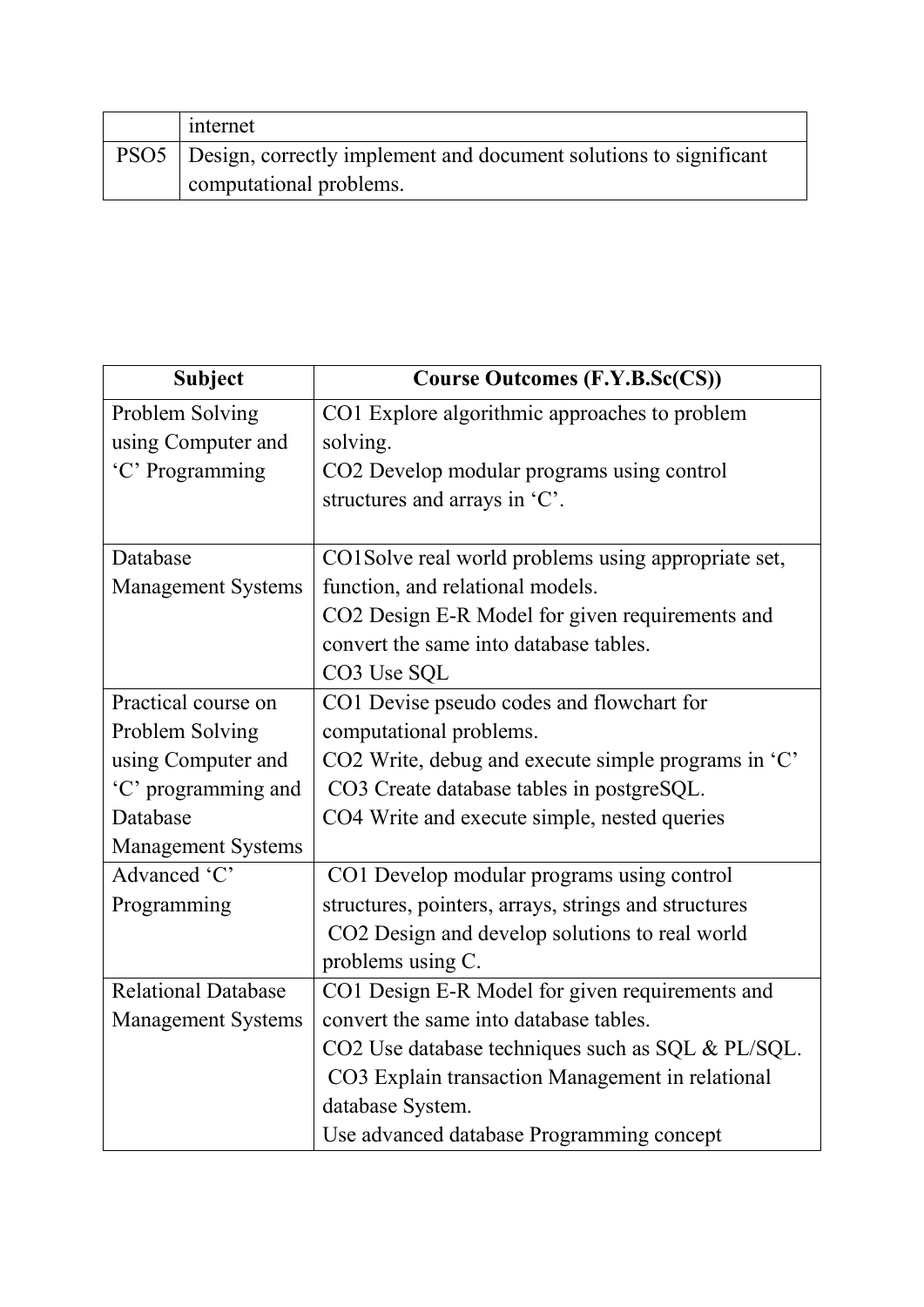| internet                                                                 |
|--------------------------------------------------------------------------|
| PSO5   Design, correctly implement and document solutions to significant |
| computational problems.                                                  |

| <b>Subject</b>             | <b>Course Outcomes (F.Y.B.Sc(CS))</b>                |
|----------------------------|------------------------------------------------------|
| Problem Solving            | CO1 Explore algorithmic approaches to problem        |
| using Computer and         | solving.                                             |
| 'C' Programming            | CO2 Develop modular programs using control           |
|                            | structures and arrays in 'C'.                        |
|                            |                                                      |
| Database                   | CO1Solve real world problems using appropriate set,  |
| <b>Management Systems</b>  | function, and relational models.                     |
|                            | CO2 Design E-R Model for given requirements and      |
|                            | convert the same into database tables.               |
|                            | CO3 Use SQL                                          |
| Practical course on        | CO1 Devise pseudo codes and flowchart for            |
| Problem Solving            | computational problems.                              |
| using Computer and         | CO2 Write, debug and execute simple programs in 'C'  |
| 'C' programming and        | CO3 Create database tables in postgreSQL.            |
| Database                   | CO4 Write and execute simple, nested queries         |
| <b>Management Systems</b>  |                                                      |
| Advanced 'C'               | CO1 Develop modular programs using control           |
| Programming                | structures, pointers, arrays, strings and structures |
|                            | CO2 Design and develop solutions to real world       |
|                            | problems using C.                                    |
| <b>Relational Database</b> | CO1 Design E-R Model for given requirements and      |
| <b>Management Systems</b>  | convert the same into database tables.               |
|                            | CO2 Use database techniques such as SQL & PL/SQL.    |
|                            | CO3 Explain transaction Management in relational     |
|                            | database System.                                     |
|                            | Use advanced database Programming concept            |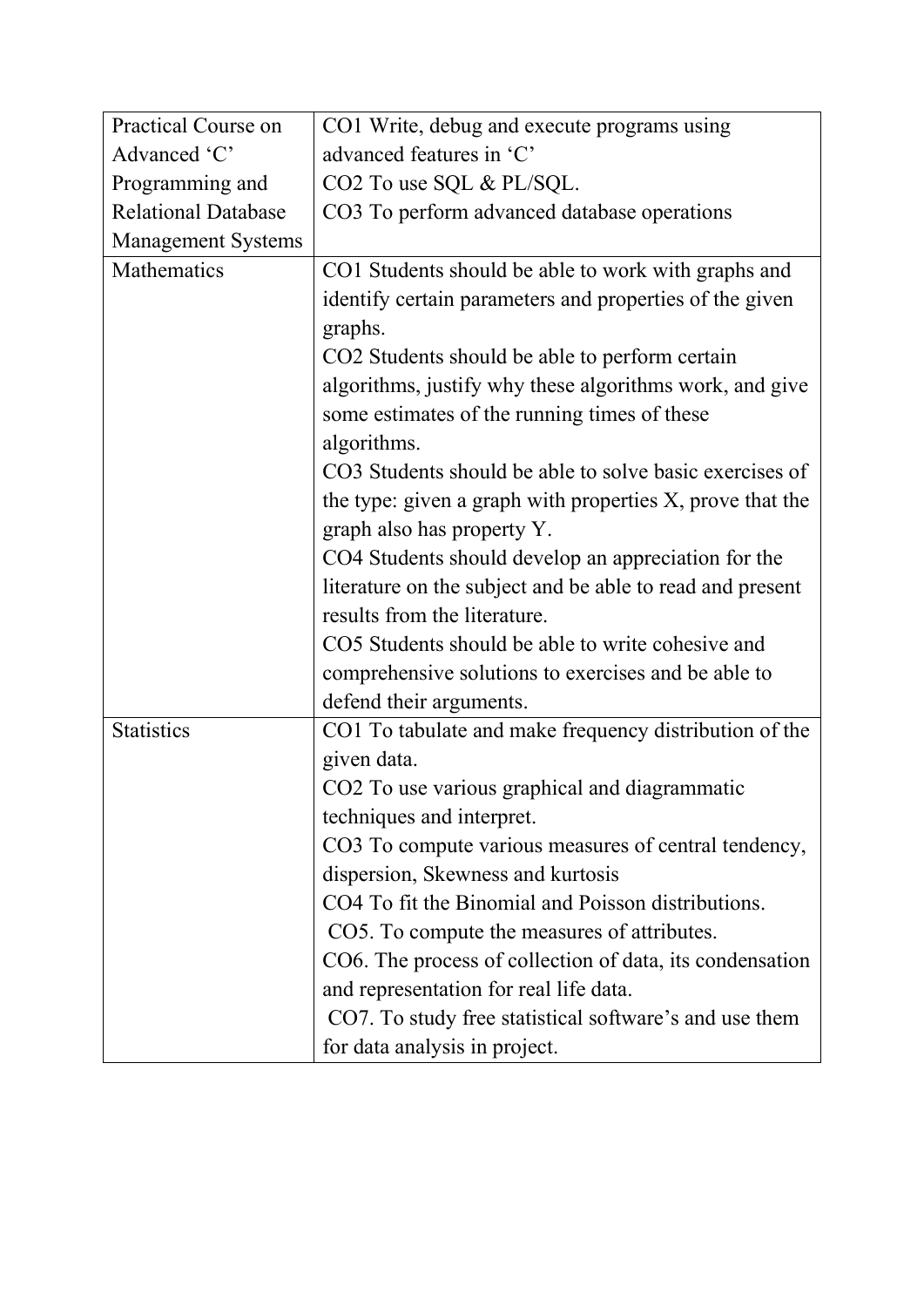| Practical Course on        | CO1 Write, debug and execute programs using               |
|----------------------------|-----------------------------------------------------------|
| Advanced 'C'               | advanced features in 'C'                                  |
| Programming and            | CO2 To use SQL & PL/SQL.                                  |
| <b>Relational Database</b> | CO3 To perform advanced database operations               |
| <b>Management Systems</b>  |                                                           |
| Mathematics                | CO1 Students should be able to work with graphs and       |
|                            | identify certain parameters and properties of the given   |
|                            | graphs.                                                   |
|                            | CO2 Students should be able to perform certain            |
|                            | algorithms, justify why these algorithms work, and give   |
|                            | some estimates of the running times of these              |
|                            | algorithms.                                               |
|                            | CO3 Students should be able to solve basic exercises of   |
|                            | the type: given a graph with properties X, prove that the |
|                            | graph also has property Y.                                |
|                            | CO4 Students should develop an appreciation for the       |
|                            | literature on the subject and be able to read and present |
|                            | results from the literature.                              |
|                            | CO5 Students should be able to write cohesive and         |
|                            | comprehensive solutions to exercises and be able to       |
|                            | defend their arguments.                                   |
| <b>Statistics</b>          | CO1 To tabulate and make frequency distribution of the    |
|                            | given data.                                               |
|                            | CO2 To use various graphical and diagrammatic             |
|                            | techniques and interpret.                                 |
|                            | CO3 To compute various measures of central tendency,      |
|                            | dispersion, Skewness and kurtosis                         |
|                            | CO4 To fit the Binomial and Poisson distributions.        |
|                            | CO5. To compute the measures of attributes.               |
|                            | CO6. The process of collection of data, its condensation  |
|                            | and representation for real life data.                    |
|                            | CO7. To study free statistical software's and use them    |
|                            | for data analysis in project.                             |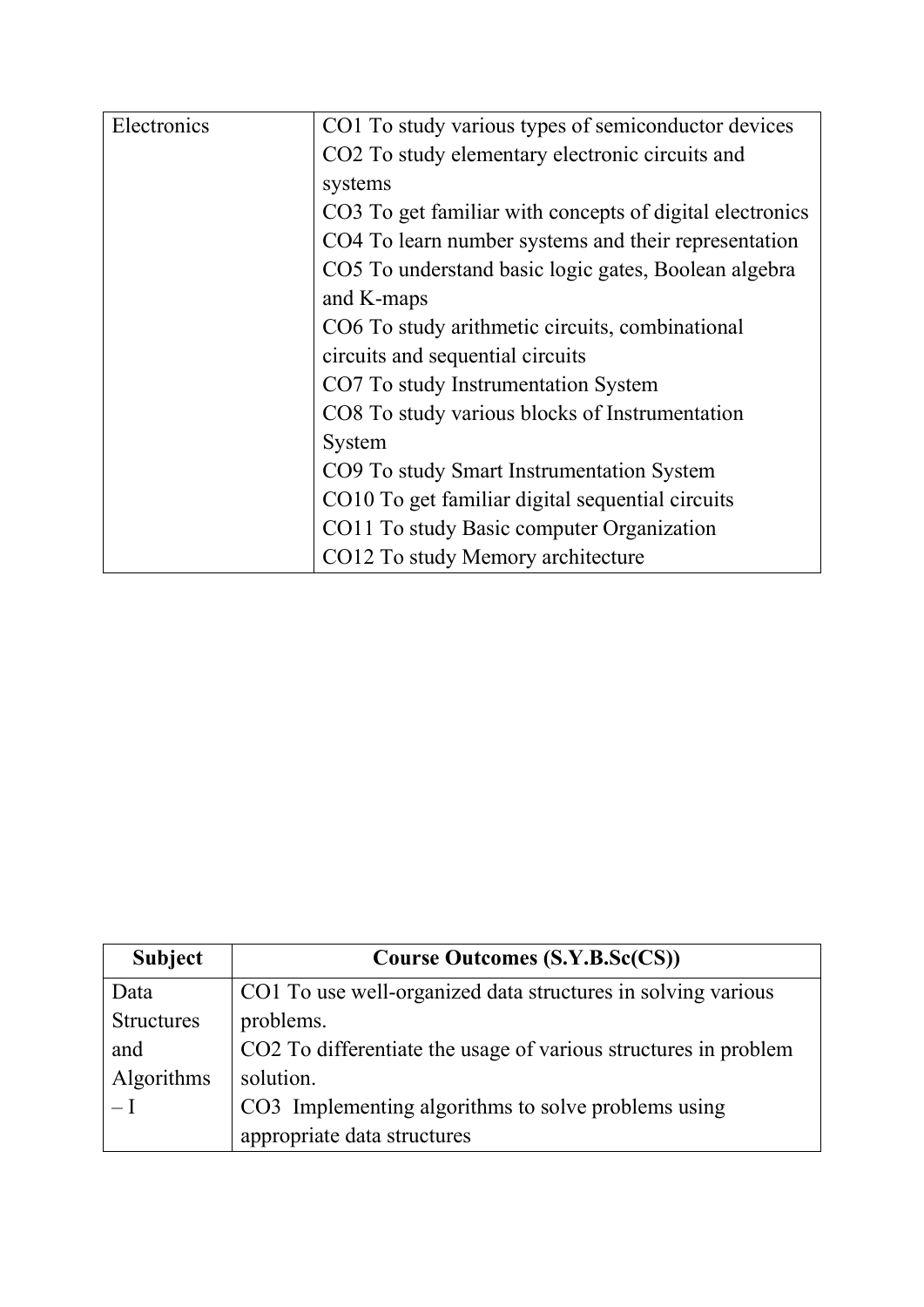| Electronics | CO1 To study various types of semiconductor devices      |
|-------------|----------------------------------------------------------|
|             | CO2 To study elementary electronic circuits and          |
|             | systems                                                  |
|             | CO3 To get familiar with concepts of digital electronics |
|             | CO4 To learn number systems and their representation     |
|             | CO5 To understand basic logic gates, Boolean algebra     |
|             | and K-maps                                               |
|             | CO6 To study arithmetic circuits, combinational          |
|             | circuits and sequential circuits                         |
|             | CO7 To study Instrumentation System                      |
|             | CO8 To study various blocks of Instrumentation           |
|             | System                                                   |
|             | CO9 To study Smart Instrumentation System                |
|             | CO10 To get familiar digital sequential circuits         |
|             | CO11 To study Basic computer Organization                |
|             | CO12 To study Memory architecture                        |

| <b>Subject</b>    | <b>Course Outcomes (S.Y.B.Sc(CS))</b>                           |
|-------------------|-----------------------------------------------------------------|
| Data              | CO1 To use well-organized data structures in solving various    |
| <b>Structures</b> | problems.                                                       |
| and               | CO2 To differentiate the usage of various structures in problem |
| Algorithms        | solution.                                                       |
| $-I$              | CO3 Implementing algorithms to solve problems using             |
|                   | appropriate data structures                                     |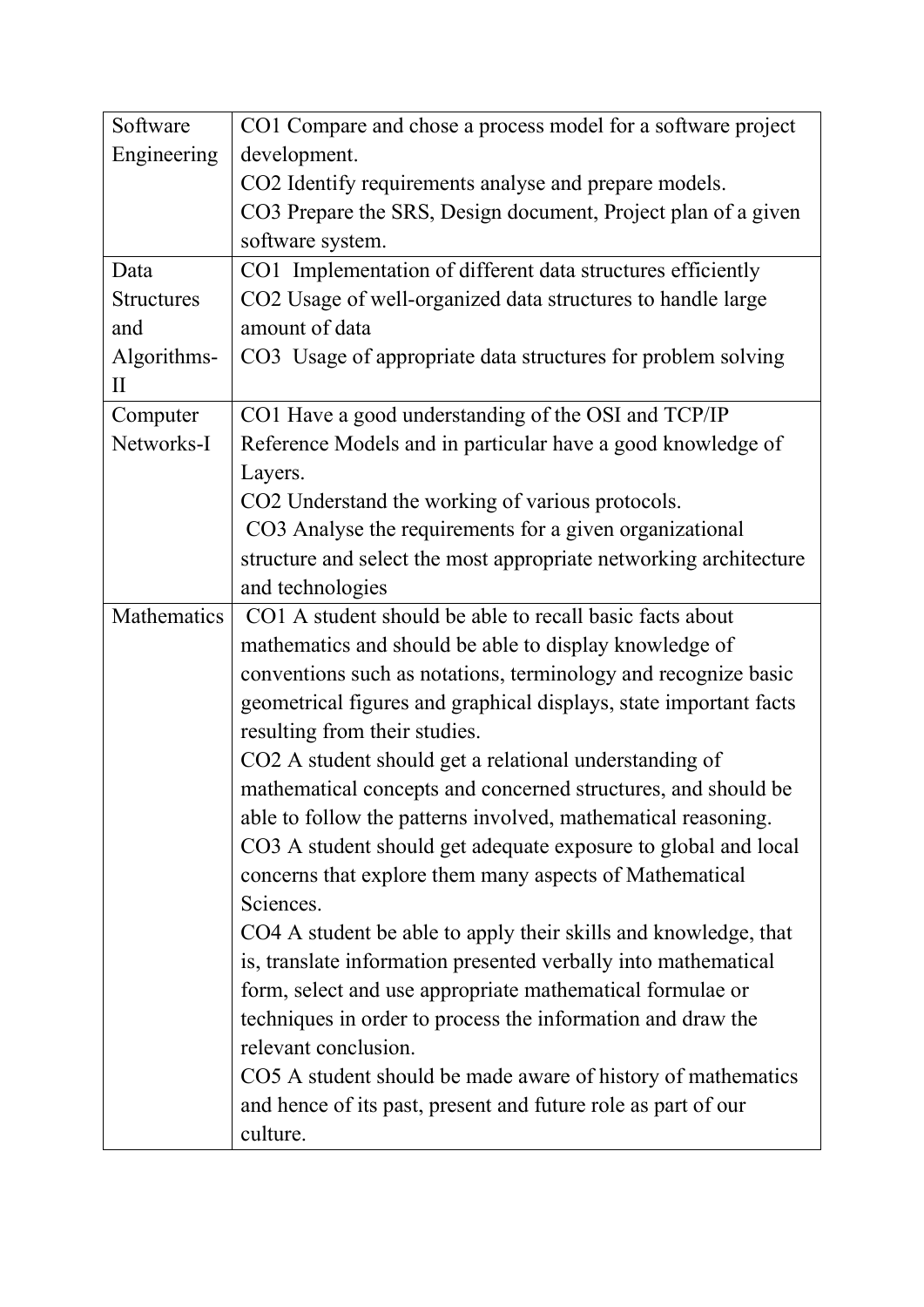| Software          | CO1 Compare and chose a process model for a software project      |
|-------------------|-------------------------------------------------------------------|
| Engineering       | development.                                                      |
|                   | CO2 Identify requirements analyse and prepare models.             |
|                   | CO3 Prepare the SRS, Design document, Project plan of a given     |
|                   | software system.                                                  |
| Data              | CO1 Implementation of different data structures efficiently       |
| <b>Structures</b> | CO2 Usage of well-organized data structures to handle large       |
| and               | amount of data                                                    |
| Algorithms-       | CO3 Usage of appropriate data structures for problem solving      |
| $\mathbf{I}$      |                                                                   |
| Computer          | CO1 Have a good understanding of the OSI and TCP/IP               |
| Networks-I        | Reference Models and in particular have a good knowledge of       |
|                   | Layers.                                                           |
|                   | CO2 Understand the working of various protocols.                  |
|                   | CO3 Analyse the requirements for a given organizational           |
|                   | structure and select the most appropriate networking architecture |
|                   | and technologies                                                  |
| Mathematics       | CO1 A student should be able to recall basic facts about          |
|                   | mathematics and should be able to display knowledge of            |
|                   | conventions such as notations, terminology and recognize basic    |
|                   | geometrical figures and graphical displays, state important facts |
|                   | resulting from their studies.                                     |
|                   | CO2 A student should get a relational understanding of            |
|                   | mathematical concepts and concerned structures, and should be     |
|                   | able to follow the patterns involved, mathematical reasoning.     |
|                   | CO3 A student should get adequate exposure to global and local    |
|                   | concerns that explore them many aspects of Mathematical           |
|                   | Sciences.                                                         |
|                   | CO4 A student be able to apply their skills and knowledge, that   |
|                   | is, translate information presented verbally into mathematical    |
|                   | form, select and use appropriate mathematical formulae or         |
|                   | techniques in order to process the information and draw the       |
|                   | relevant conclusion.                                              |
|                   | CO5 A student should be made aware of history of mathematics      |
|                   | and hence of its past, present and future role as part of our     |
|                   | culture.                                                          |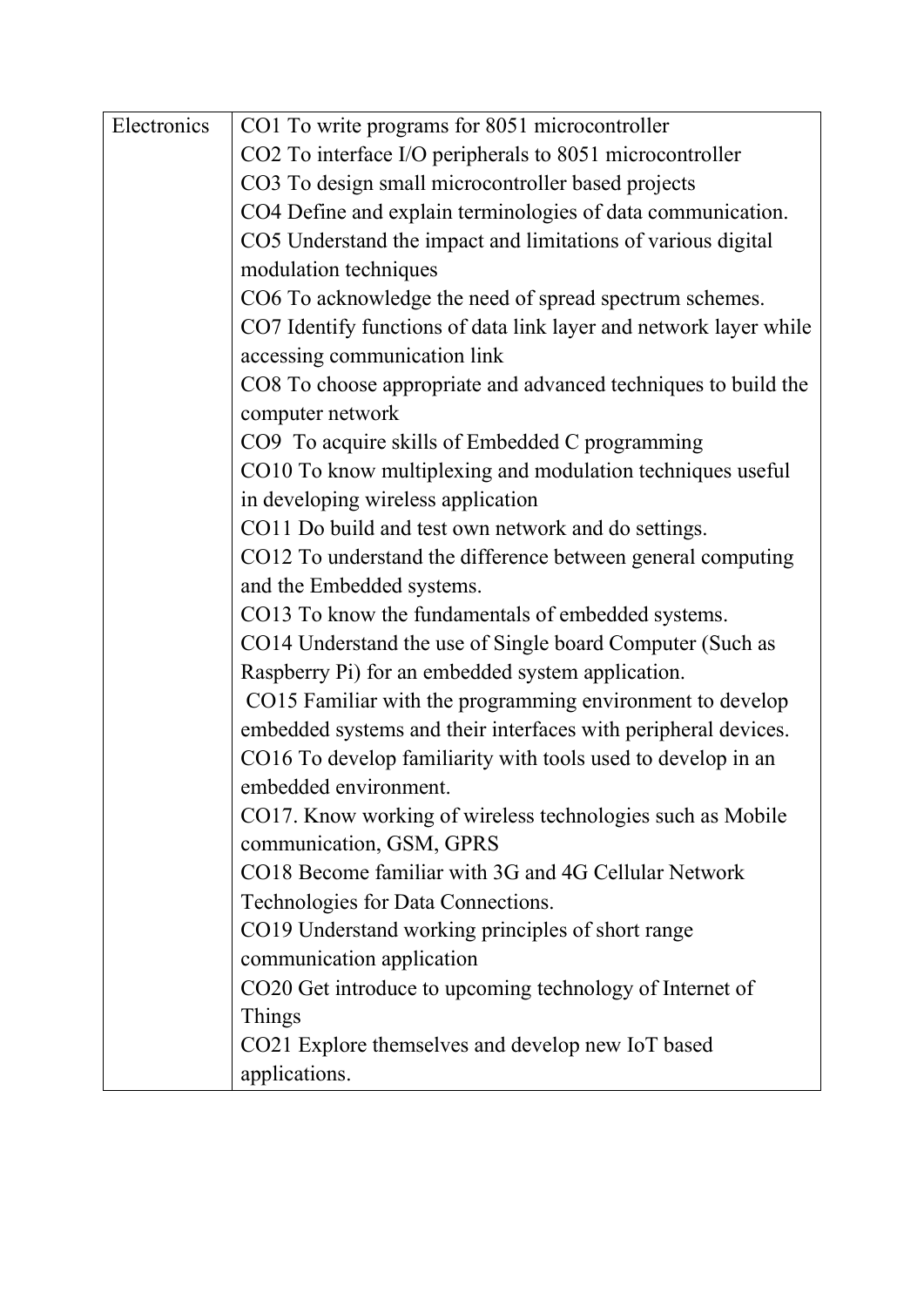| Electronics | CO1 To write programs for 8051 microcontroller                    |
|-------------|-------------------------------------------------------------------|
|             | CO2 To interface I/O peripherals to 8051 microcontroller          |
|             | CO3 To design small microcontroller based projects                |
|             | CO4 Define and explain terminologies of data communication.       |
|             | CO5 Understand the impact and limitations of various digital      |
|             | modulation techniques                                             |
|             | CO6 To acknowledge the need of spread spectrum schemes.           |
|             | CO7 Identify functions of data link layer and network layer while |
|             | accessing communication link                                      |
|             | CO8 To choose appropriate and advanced techniques to build the    |
|             | computer network                                                  |
|             | CO9 To acquire skills of Embedded C programming                   |
|             | CO10 To know multiplexing and modulation techniques useful        |
|             | in developing wireless application                                |
|             | CO11 Do build and test own network and do settings.               |
|             | CO12 To understand the difference between general computing       |
|             | and the Embedded systems.                                         |
|             | CO13 To know the fundamentals of embedded systems.                |
|             | CO14 Understand the use of Single board Computer (Such as         |
|             | Raspberry Pi) for an embedded system application.                 |
|             | CO15 Familiar with the programming environment to develop         |
|             | embedded systems and their interfaces with peripheral devices.    |
|             | CO16 To develop familiarity with tools used to develop in an      |
|             | embedded environment.                                             |
|             | CO17. Know working of wireless technologies such as Mobile        |
|             | communication, GSM, GPRS                                          |
|             | CO18 Become familiar with 3G and 4G Cellular Network              |
|             | Technologies for Data Connections.                                |
|             | CO19 Understand working principles of short range                 |
|             | communication application                                         |
|             |                                                                   |
|             | CO20 Get introduce to upcoming technology of Internet of          |
|             | Things                                                            |
|             | CO21 Explore themselves and develop new IoT based                 |
|             | applications.                                                     |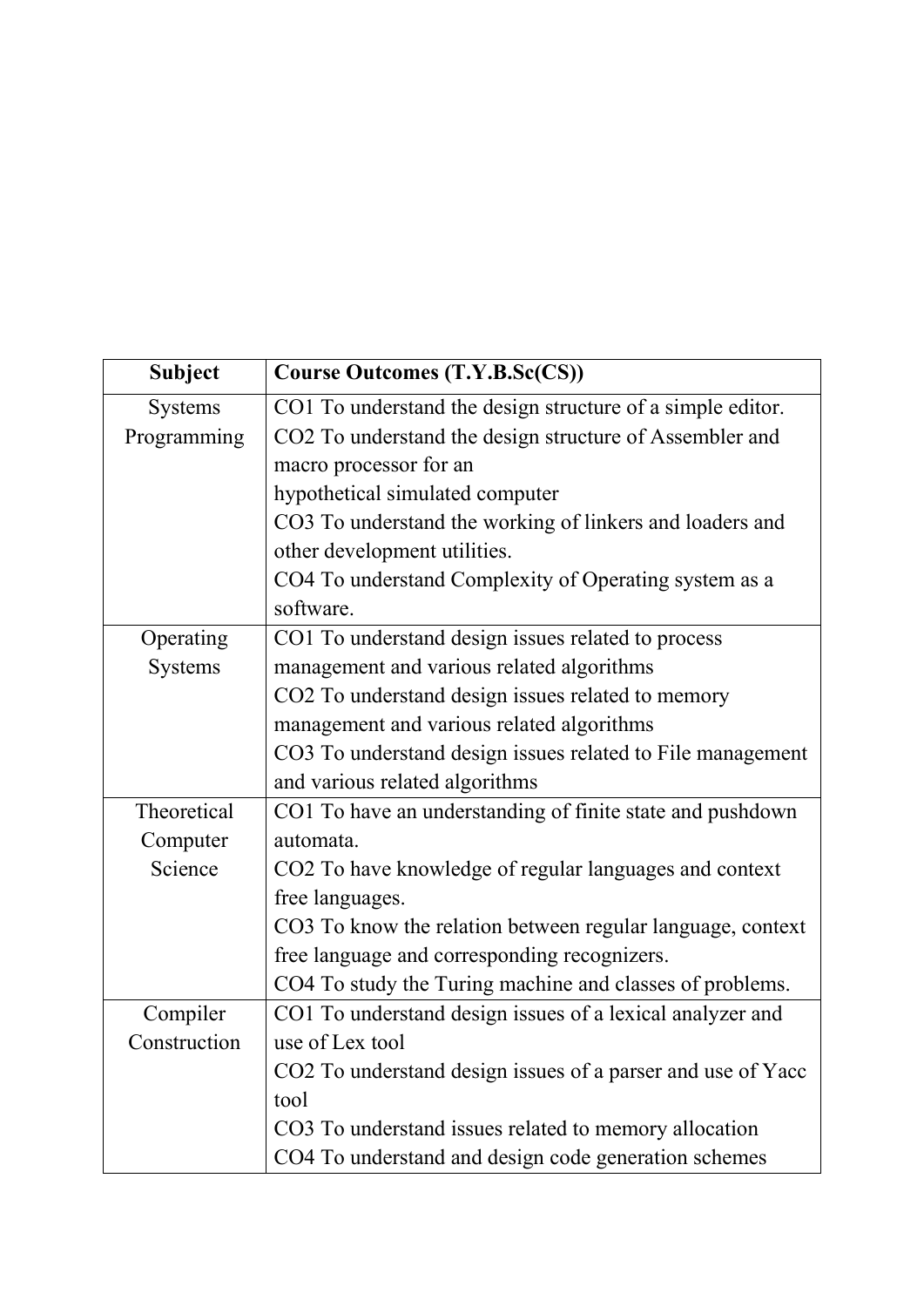| <b>Subject</b> | <b>Course Outcomes (T.Y.B.Sc(CS))</b>                       |
|----------------|-------------------------------------------------------------|
| <b>Systems</b> | CO1 To understand the design structure of a simple editor.  |
| Programming    | CO2 To understand the design structure of Assembler and     |
|                | macro processor for an                                      |
|                | hypothetical simulated computer                             |
|                | CO3 To understand the working of linkers and loaders and    |
|                | other development utilities.                                |
|                | CO4 To understand Complexity of Operating system as a       |
|                | software.                                                   |
| Operating      | CO1 To understand design issues related to process          |
| <b>Systems</b> | management and various related algorithms                   |
|                | CO2 To understand design issues related to memory           |
|                | management and various related algorithms                   |
|                | CO3 To understand design issues related to File management  |
|                | and various related algorithms                              |
| Theoretical    | CO1 To have an understanding of finite state and pushdown   |
| Computer       | automata.                                                   |
| Science        | CO2 To have knowledge of regular languages and context      |
|                | free languages.                                             |
|                | CO3 To know the relation between regular language, context  |
|                | free language and corresponding recognizers.                |
|                | CO4 To study the Turing machine and classes of problems.    |
| Compiler       | CO1 To understand design issues of a lexical analyzer and   |
| Construction   | use of Lex tool                                             |
|                | CO2 To understand design issues of a parser and use of Yacc |
|                | tool                                                        |
|                | CO3 To understand issues related to memory allocation       |
|                | CO4 To understand and design code generation schemes        |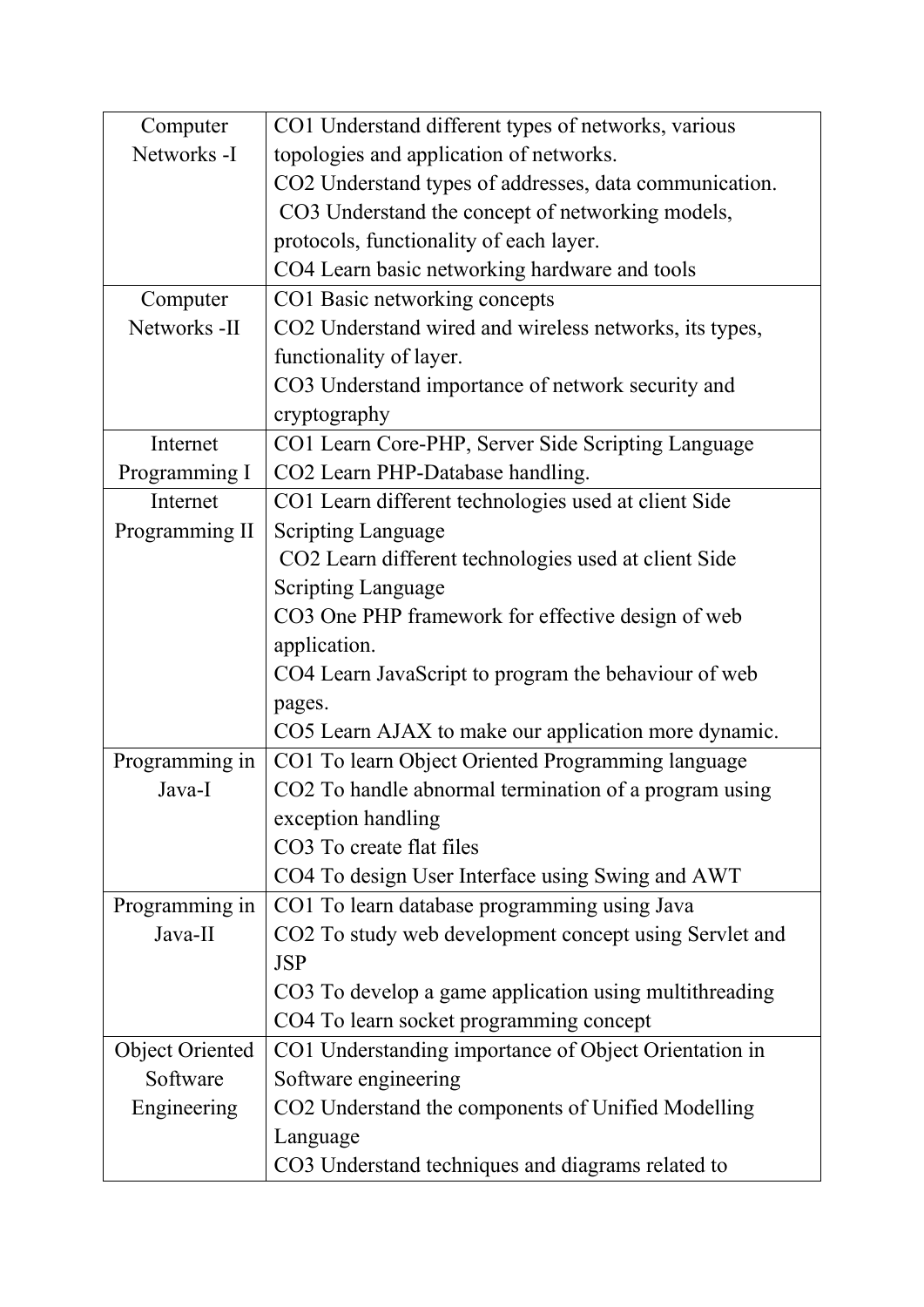| Computer               | CO1 Understand different types of networks, various    |
|------------------------|--------------------------------------------------------|
| Networks -I            | topologies and application of networks.                |
|                        | CO2 Understand types of addresses, data communication. |
|                        | CO3 Understand the concept of networking models,       |
|                        | protocols, functionality of each layer.                |
|                        | CO4 Learn basic networking hardware and tools          |
| Computer               | CO1 Basic networking concepts                          |
| Networks -II           | CO2 Understand wired and wireless networks, its types, |
|                        | functionality of layer.                                |
|                        | CO3 Understand importance of network security and      |
|                        | cryptography                                           |
| Internet               | CO1 Learn Core-PHP, Server Side Scripting Language     |
| Programming I          | CO2 Learn PHP-Database handling.                       |
| Internet               | CO1 Learn different technologies used at client Side   |
| Programming II         | <b>Scripting Language</b>                              |
|                        | CO2 Learn different technologies used at client Side   |
|                        | <b>Scripting Language</b>                              |
|                        | CO3 One PHP framework for effective design of web      |
|                        | application.                                           |
|                        | CO4 Learn JavaScript to program the behaviour of web   |
|                        | pages.                                                 |
|                        | CO5 Learn AJAX to make our application more dynamic.   |
| Programming in         | CO1 To learn Object Oriented Programming language      |
| Java-I                 | CO2 To handle abnormal termination of a program using  |
|                        | exception handling                                     |
|                        | CO3 To create flat files                               |
|                        | CO4 To design User Interface using Swing and AWT       |
| Programming in         | CO1 To learn database programming using Java           |
| Java-II                | CO2 To study web development concept using Servlet and |
|                        | <b>JSP</b>                                             |
|                        | CO3 To develop a game application using multithreading |
|                        | CO4 To learn socket programming concept                |
| <b>Object Oriented</b> | CO1 Understanding importance of Object Orientation in  |
| Software               | Software engineering                                   |
| Engineering            | CO2 Understand the components of Unified Modelling     |
|                        | Language                                               |
|                        | CO3 Understand techniques and diagrams related to      |